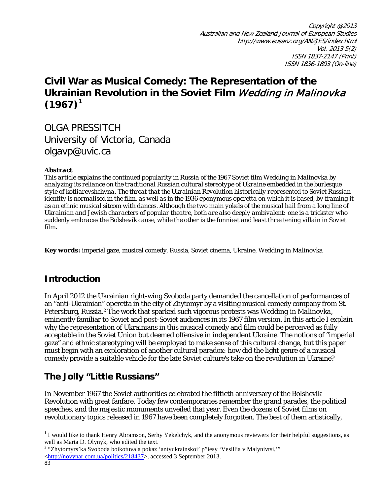Copyright @2013 Australian and New Zealand Journal of European Studies http://www.eusanz.org/ANZJES/index.html Vol. 2013 5(2) ISSN 1837-2147 (Print) ISSN 1836-1803 (On-line)

# **Civil War as Musical Comedy: The Representation of the Ukrainian Revolution in the Soviet Film** Wedding in Malinovka  $(1967)^1$  $(1967)^1$  $(1967)^1$

OLGA PRESSITCH University of Victoria, Canada [olgavp@uvic.ca](mailto:olgavp@uvic.ca)

### *Abstract*

*This article explains the continued popularity in Russia of the 1967 Soviet film Wedding in Malinovka by analyzing its reliance on the traditional Russian cultural stereotype of Ukraine embedded in the burlesque style of kotliarevshchyna. The threat that the Ukrainian Revolution historically represented to Soviet Russian identity is normalised in the film, as well as in the 1936 eponymous operetta on which it is based, by framing it as an ethnic musical sitcom with dances. Although the two main yokels of the musical hail from a long line of Ukrainian and Jewish characters of popular theatre, both are also deeply ambivalent: one is a trickster who suddenly embraces the Bolshevik cause, while the other is the funniest and least threatening villain in Soviet film.*

**Key words:** imperial gaze, musical comedy, Russia, Soviet cinema, Ukraine, *Wedding in Malinovka*

## **Introduction**

In April 2012 the Ukrainian right-wing Svoboda party demanded the cancellation of performances of an "anti-Ukrainian" operetta in the city of Zhytomyr by a visiting musical comedy company from St. Petersburg, Russia.[2](#page-0-1) The work that sparked such vigorous protests was *Wedding in Malinovka*, eminently familiar to Soviet and post-Soviet audiences in its 1967 film version. In this article I explain why the representation of Ukrainians in this musical comedy and film could be perceived as fully acceptable in the Soviet Union but deemed offensive in independent Ukraine. The notions of "imperial gaze" and ethnic stereotyping will be employed to make sense of this cultural change, but this paper must begin with an exploration of another cultural paradox: how did the light genre of a musical comedy provide a suitable vehicle for the late Soviet culture's take on the revolution in Ukraine?

# **The Jolly "Little Russians"**

In November 1967 the Soviet authorities celebrated the fiftieth anniversary of the Bolshevik Revolution with great fanfare. Today few contemporaries remember the grand parades, the political speeches, and the majestic monuments unveiled that year. Even the dozens of Soviet films on revolutionary topics released in 1967 have been completely forgotten. The best of them artistically,

l

<span id="page-0-0"></span><sup>&</sup>lt;sup>1</sup> I would like to thank Henry Abramson, Serhy Yekelchyk, and the anonymous reviewers for their helpful suggestions, as

<span id="page-0-1"></span>well as Marta D. Olynyk, who edited the text.<br><sup>2</sup> "Zhytomyrs'ka Svoboda boikotuvala pokaz 'antyukrainskoi' p"iesy 'Vesillia v Malynivtsi,'" [<http://novynar.com.ua/politics/218437>](http://novynar.com.ua/politics/218437), accessed 3 September 2013.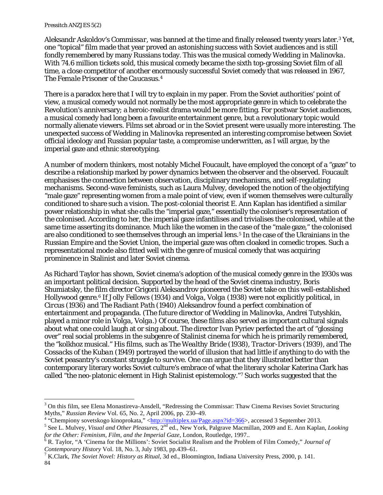#### *Pressitch ANZJES 5(2)*

 $\overline{\phantom{a}}$ 

Aleksandr Askoldov's *Commissar*, was banned at the time and finally released twenty years later.[3](#page-1-0) Yet, one "topical" film made that year proved an astonishing success with Soviet audiences and is still fondly remembered by many Russians today. This was the musical comedy *Wedding in Malinovka*. With 74.6 million tickets sold, this musical comedy became the sixth top-grossing Soviet film of all time, a close competitor of another enormously successful Soviet comedy that was released in 1967, *The Female Prisoner of the Caucasus*.[4](#page-1-1)

There is a paradox here that I will try to explain in my paper. From the Soviet authorities' point of view, a musical comedy would not normally be the most appropriate genre in which to celebrate the Revolution's anniversary; a heroic-realist drama would be more fitting. For postwar Soviet audiences, a musical comedy had long been a favourite entertainment genre, but a revolutionary topic would normally alienate viewers. Films set abroad or in the Soviet present were usually more interesting. The unexpected success of *Wedding in Malinovka* represented an interesting compromise between Soviet official ideology and Russian popular taste, a compromise underwritten, as I will argue, by the imperial gaze and ethnic stereotyping.

A number of modern thinkers, most notably Michel Foucault, have employed the concept of a "gaze" to describe a relationship marked by power dynamics between the observer and the observed. Foucault emphasises the connection between observation, disciplinary mechanisms, and self-regulating mechanisms. Second-wave feminists, such as Laura Mulvey, developed the notion of the objectifying "male gaze" representing women from a male point of view, even if women themselves were culturally conditioned to share such a vision. The post-colonial theorist E. Ann Kaplan has identified a similar power relationship in what she calls the "imperial gaze," essentially the coloniser's representation of the colonised. According to her, the imperial gaze infantilises and trivialises the colonised, while at the same time asserting its dominance. Much like the women in the case of the "male gaze," the colonised are also conditioned to see themselves through an imperial lens.[5](#page-1-2) In the case of the Ukrainians in the Russian Empire and the Soviet Union, the imperial gaze was often cloaked in comedic tropes. Such a representational mode also fitted well with the genre of musical comedy that was acquiring prominence in Stalinist and later Soviet cinema.

As Richard Taylor has shown, Soviet cinema's adoption of the musical comedy genre in the 1930s was an important political decision. Supported by the head of the Soviet cinema industry, Boris Shumiatsky, the film director Grigorii Aleksandrov pioneered the Soviet take on this well-established Hollywood genre.[6](#page-1-3) If *Jolly Fellows* (1934) and *Volga, Volga* (1938) were not explicitly political, in *Circus* (1936) and *The Radiant Path* (1940) Aleksandrov found a perfect combination of entertainment and propaganda. (The future director of *Wedding in Malinovka*, Andrei Tutyshkin, played a minor role in *Volga, Volga*.) Of course, these films also served as important cultural signals about what one could laugh at or sing about. The director Ivan Pyriev perfected the art of "glossing over" real social problems in the subgenre of Stalinist cinema for which he is primarily remembered, the "kolkhoz musical." His films, such as *The Wealthy Bride* (1938), *Tractor-Drivers* (1939), and *The Cossacks of the Kuban* (1949) portrayed the world of illusion that had little if anything to do with the Soviet peasantry's constant struggle to survive. One can argue that they illustrated better than contemporary literary works Soviet culture's embrace of what the literary scholar Katerina Clark has called "the neo-platonic element in High Stalinist epistemology."[7](#page-1-4) Such works suggested that the

<span id="page-1-0"></span> $3$  On this film, see Elena Monastireva-Ansdell, "Redressing the Commissar: Thaw Cinema Revises Soviet Structuring Myths," Russian Review Vol. 65, No. 2, April 2006, pp. 230–49.

<span id="page-1-1"></span><sup>&</sup>lt;sup>4</sup> "Chempiony sovetskogo kinoprokata," < $\frac{\text{http://multiplex.ua/Page.aspx?id=366}}{8}$ , accessed 3 September 2013.<br><sup>5</sup> See L. Mulvey, *Visual and Other Pleasures*, 2<sup>nd</sup> ed., New York, Palgrave Macmillan, 2009 and E. Ann Kaplan, *Looking* 

<span id="page-1-2"></span>*for the Other: Feminism, Film, and the Imperial Gaze, London, Routledge, 1997..* <sup>6</sup> R. Taylor, "A 'Cinema for the Millions': Soviet Socialist Realism and the Problem of Film Comedy," *Journal of* 

<span id="page-1-3"></span>*Contemporary History* Vol. 18, No. 3, July 1983, pp.439–61.<br><sup>7</sup> K.Clark, *The Soviet Novel: History as Ritual*, 3d ed., Bloomington, Indiana University Press, 2000, p. 141.

<span id="page-1-4"></span><sup>84</sup>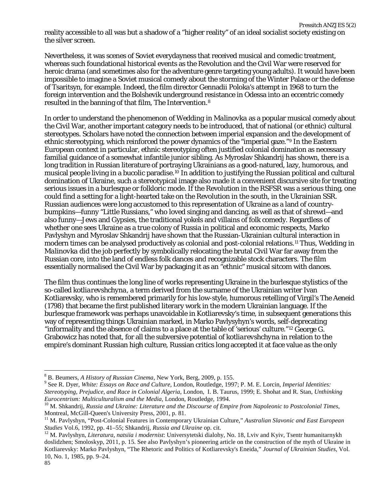*Pressitch ANZJES 5(2)* reality accessible to all was but a shadow of a "higher reality" of an ideal socialist society existing on the silver screen.

Nevertheless, it was scenes of Soviet everydayness that received musical and comedic treatment, whereas such foundational historical events as the Revolution and the Civil War were reserved for heroic drama (and sometimes also for the adventure genre targeting young adults). It would have been impossible to imagine a Soviet musical comedy about the storming of the Winter Palace or the defense of Tsaritsyn, for example. Indeed, the film director Gennadii Poloka's attempt in 1968 to turn the foreign intervention and the Bolshevik underground resistance in Odessa into an eccentric comedy resulted in the banning of that film, *The Intervention*.[8](#page-2-0)

In order to understand the phenomenon of *Wedding in Malinovka* as a popular musical comedy about the Civil War, another important category needs to be introduced, that of national (or ethnic) cultural stereotypes. Scholars have noted the connection between imperial expansion and the development of ethnic stereotyping, which reinforced the power dynamics of the "imperial gaze."[9](#page-2-1) In the Eastern European context in particular, ethnic stereotyping often justified colonial domination as necessary familial guidance of a somewhat infantile junior sibling. As Myroslav Shkandrij has shown, there is a long tradition in Russian literature of portraying Ukrainians as a good-natured, lazy, humorous, and musical people living in a bucolic paradise.<sup>[10](#page-2-2)</sup> In addition to justifying the Russian political and cultural domination of Ukraine, such a stereotypical image also made it a convenient discursive site for treating serious issues in a burlesque or folkloric mode. If the Revolution in the RSFSR was a serious thing, one could find a setting for a light-hearted take on the Revolution in the south, in the Ukrainian SSR. Russian audiences were long accustomed to this representation of Ukraine as a land of countrybumpkins—funny "Little Russians," who loved singing and dancing, as well as that of shrewd—and also funny—Jews and Gypsies, the traditional yokels and villains of folk comedy. Regardless of whether one sees Ukraine as a true colony of Russia in political and economic respects, Marko Pavlyshyn and Myroslav Shkandrij have shown that the Russian-Ukrainian cultural interaction in modern times can be analysed productively as colonial and post-colonial relations.[11](#page-2-3) Thus, *Wedding in Malinovka* did the job perfectly by symbolically relocating the brutal Civil War far away from the Russian core, into the land of endless folk dances and recognizable stock characters. The film essentially normalised the Civil War by packaging it as an "ethnic" musical sitcom with dances.

The film thus continues the long line of works representing Ukraine in the burlesque stylistics of the so-called *kotliarevshchyna*, a term derived from the surname of the Ukrainian writer Ivan Kotliarevsky, who is remembered primarily for his low-style, humorous retelling of Virgil's *The Aeneid* (1798) that became the first published literary work in the modern Ukrainian language. If the burlesque framework was perhaps unavoidable in Kotliarevsky's time, in subsequent generations this way of representing things Ukrainian marked, in Marko Pavlysyhyn's words, self-deprecating "informality and the absence of claims to a place at the table of 'serious' culture."[12](#page-2-4) George G. Grabowicz has noted that, for all the subversive potential of *kotliarevshchyna* in relation to the empire's dominant Russian high culture, Russian critics long accepted it at face value as the only

<span id="page-2-1"></span><span id="page-2-0"></span><sup>&</sup>lt;sup>8</sup> B. Beumers, *A History of Russian Cinema*, New York, Berg, 2009, p. 155.<br><sup>9</sup> See R. Dyer, *White: Essays on Race and Culture*, London, Routledge, 1997; P. M. E. Lorcin, *Imperial Identities: Stereotyping, Prejudice, and Race in Colonial Algeria*, London, I. B. Taurus, 1999; E. Shohat and R. Stan, *Unthinking Eurocentrism: Multiculturalism and the Media*, London, Routledge, 1994.<br><sup>10</sup> M. Shkandrij, *Russia and Ukraine: Literature and the Discourse of Empire from Napoleonic to Postcolonial Times,* 

<span id="page-2-2"></span>Montreal, McGill-Queen's University Press, 2001, p. 81.<br><sup>11</sup> M. Pavlyshyn, "Post-Colonial Features in Contemporary Ukrainian Culture," *Australian Slavonic and East European* 

<span id="page-2-3"></span>*Studies* Vol.6, 1992, pp. 41–55; Shkandrij, *Russia and Ukraine* op. cit. <sup>12</sup> M. Pavlyshyn, *Literatura, natsiia i modernist*: Universytetski dialohy, No. 18, Lviv and Kyiv, Tsentr humanitarnykh

<span id="page-2-4"></span>doslidzhen; Smoloskyp, 2011, p. 15. See also Pavlyshyn's pioneering article on the construction of the myth of Ukraine in Kotliarevsky: Marko Pavlyshyn, "The Rhetoric and Politics of Kotliarevsky's Eneida," *Journal of Ukrainian Studies*, Vol. 10, No. 1, 1985, pp. 9–24.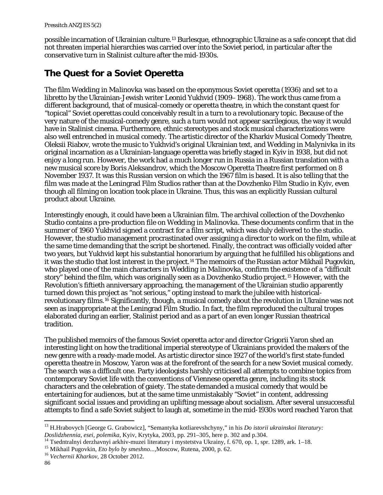possible incarnation of Ukrainian culture.[13](#page-3-0) Burlesque, ethnographic Ukraine as a safe concept that did not threaten imperial hierarchies was carried over into the Soviet period, in particular after the conservative turn in Stalinist culture after the mid-1930s.

# **The Quest for a Soviet Operetta**

The film *Wedding in Malinovka* was based on the eponymous Soviet operetta (1936) and set to a libretto by the Ukrainian-Jewish writer Leonid Yukhvid (1909–1968). The work thus came from a different background, that of musical-comedy or operetta theatre, in which the constant quest for "topical" Soviet operettas could conceivably result in a turn to a revolutionary topic. Because of the very nature of the musical-comedy genre, such a turn would not appear sacrilegious, the way it would have in Stalinist cinema. Furthermore, ethnic stereotypes and stock musical characterizations were also well entrenched in musical comedy. The artistic director of the Kharkiv Musical Comedy Theatre, Oleksii Riabov, wrote the music to Yukhvid's original Ukrainian text, and *Wedding in Malynivka* in its original incarnation as a Ukrainian-language operetta was briefly staged in Kyiv in 1938, but did not enjoy a long run. However, the work had a much longer run in Russia in a Russian translation with a new musical score by Boris Aleksandrov, which the Moscow Operetta Theatre first performed on 8 November 1937. It was this Russian version on which the 1967 film is based. It is also telling that the film was made at the Leningrad Film Studios rather than at the Dovzhenko Film Studio in Kyiv, even though all filming on location took place in Ukraine. Thus, this was an explicitly Russian cultural product about Ukraine.

Interestingly enough, it could have been a Ukrainian film. The archival collection of the Dovzhenko Studio contains a pre-production file on *Wedding in Malinovka*. These documents confirm that in the summer of 1960 Yukhvid signed a contract for a film script, which was duly delivered to the studio. However, the studio management procrastinated over assigning a director to work on the film, while at the same time demanding that the script be shortened. Finally, the contract was officially voided after two years, but Yukhvid kept his substantial honorarium by arguing that he fulfilled his obligations and it was the studio that lost interest in the project.[14](#page-3-1) The memoirs of the Russian actor Mikhail Pugovkin, who played one of the main characters in *Wedding in Malinovka*, confirm the existence of a "difficult story" behind the film, which was originally seen as a Dovzhenko Studio project.[15](#page-3-2) However, with the Revolution's fiftieth anniversary approaching, the management of the Ukrainian studio apparently turned down this project as "not serious," opting instead to mark the jubilee with historicalrevolutionary films.[16](#page-3-3) Significantly, though, a musical comedy about the revolution in Ukraine was not seen as inappropriate at the Leningrad Film Studio. In fact, the film reproduced the cultural tropes elaborated during an earlier, Stalinist period and as a part of an even longer Russian theatrical tradition.

The published memoirs of the famous Soviet operetta actor and director Grigorii Yaron shed an interesting light on how the traditional imperial stereotype of Ukrainians provided the makers of the new genre with a ready-made model. As artistic director since 1927 of the world's first state-funded operetta theatre in Moscow, Yaron was at the forefront of the search for a new Soviet musical comedy. The search was a difficult one. Party ideologists harshly criticised all attempts to combine topics from contemporary Soviet life with the conventions of Viennese operetta genre, including its stock characters and the celebration of gaiety. The state demanded a musical comedy that would be entertaining for audiences, but at the same time unmistakably "Soviet" in content, addressing significant social issues and providing an uplifting message about socialism. After several unsuccessful attempts to find a safe Soviet subject to laugh at, sometime in the mid-1930s word reached Yaron that

<span id="page-3-0"></span><sup>13</sup> H.Hrabovych [George G. Grabowicz], "Semantyka kotliarevshchyny," in his *Do istorii ukrainskoi literatury:* 

<span id="page-3-1"></span>Doslidzhennia, esei, polemika, Kyiv, Krytyka, 2003, pp. 291–305, here p. 302 and p.304.<br><sup>14</sup> Tsedntralnyi derzhavnyi arkhiv-muzei literatury i mystetstva Ukrainy, f. 670, op. 1, spr. 1289, ark. 1–18.<br><sup>15</sup> Mikhail Pugovkin,

<span id="page-3-3"></span><span id="page-3-2"></span>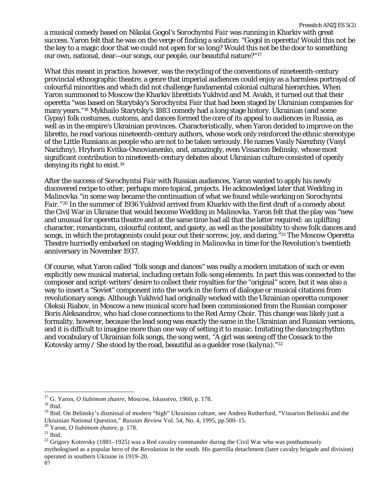a musical comedy based on Nikolai Gogol's *Sorochyntsi Fair* was running in Kharkiv with great success. Yaron felt that he was on the verge of finding a solution: "Gogol in operetta! Would this not be the key to a magic door that we could not open for so long? Would this not be the door to something our own, national, dear—our songs, our people, our beautiful nature?"[17](#page-4-0)

What this meant in practice, however, was the recycling of the conventions of nineteenth-century provincial ethnographic theatre, a genre that imperial audiences could enjoy as a harmless portrayal of colourful minorities and which did not challenge fundamental colonial cultural hierarchies. When Yaron summoned to Moscow the Kharkiv librettists Yukhvid and M. Avakh, it turned out that their operetta "was based on Starytsky's *Sorochyntsi Fair* that had been staged by Ukrainian companies for many years."[18](#page-4-1) Mykhailo Starytsky's 1883 comedy had a long stage history. Ukrainian (and some Gypsy) folk costumes, customs, and dances formed the core of its appeal to audiences in Russia, as well as in the empire's Ukrainian provinces. Characteristically, when Yaron decided to improve on the libretto, he read various nineteenth-century authors, whose work only reinforced the ethnic stereotype of the Little Russians as people who are not to be taken seriously. He names Vasily Narezhny (Vasyl Narizhny), Hryhorii Kvitka-Osnovianenko, and, amazingly, even Vissarion Belinsky, whose most significant contribution to nineteenth-century debates about Ukrainian culture consisted of openly denying its right to exist.[19](#page-4-2)

After the success of *Sorochyntsi Fair* with Russian audiences, Yaron wanted to apply his newly discovered recipe to other, perhaps more topical, projects. He acknowledged later that *Wedding in Malinovka* "in some way became the continuation of what we found while working on *Sorochyntsi Fair*."[20](#page-4-3) In the summer of 1936 Yukhvid arrived from Kharkiv with the first draft of a comedy about the Civil War in Ukraine that would become *Wedding in Malinovka*. Yaron felt that the play was "new and unusual for operetta theatre and at the same time had all that the latter required: an uplifting character, romanticism, colourful content, and gaiety, as well as the possibility to show folk dances and songs, in which the protagonists could pour out their sorrow, joy, and daring."[21](#page-4-4) The Moscow Operetta Theatre hurriedly embarked on staging *Wedding in Malinovka* in time for the Revolution's twentieth anniversary in November 1937.

Of course, what Yaron called "folk songs and dances" was really a modern imitation of such or even explicitly new musical material, including certain folk-song elements. In part this was connected to the composer and script-writers' desire to collect their royalties for the "original" score, but it was also a way to insert a "Soviet" component into the work in the form of dialogue or musical citations from revolutionary songs. Although Yukhvid had originally worked with the Ukrainian operetta composer Oleksii Riabov, in Moscow a new musical score had been commissioned from the Russian composer Boris Aleksandrov, who had close connections to the Red Army Choir. This change was likely just a formality, however, because the lead song was exactly the same in the Ukrainian and Russian versions, and it is difficult to imagine more than one way of setting it to music. Imitating the dancing rhythm and vocabulary of Ukrainian folk songs, the song went, "A girl was seeing off the Cossack to the Kotovsky army / She stood by the road, beautiful as a guelder rose (*kalyna*)."[22](#page-4-5)

<span id="page-4-0"></span><sup>&</sup>lt;sup>17</sup> G. Yaron, *O liubimom zhanre*, Moscow, Iskusstvo, 1960, p. 178.<br><sup>18</sup> Ibid.

<span id="page-4-2"></span><span id="page-4-1"></span><sup>&</sup>lt;sup>19</sup> Ibid. On Belinsky's dismissal of modern "high" Ukrainian culture, see Andrea Rutherford, "Vissarion Belinskii and the Ukrainian National Question," *Russian Review* Vol. 54, No. 4, 1995, pp.500–15.

<span id="page-4-5"></span>

<span id="page-4-4"></span><span id="page-4-3"></span><sup>&</sup>lt;sup>20</sup> Yaron, *O liubimom zhanre*, p. 178.<br><sup>21</sup> Ibid.<br><sup>22</sup> Grigory Kotovsky (1881–1925) was a Red cavalry commander during the Civil War who was posthumously mythologised as a popular hero of the Revolution in the south. His guerrilla detachment (later cavalry brigade and division) operated in southern Ukraine in 1919–20. 87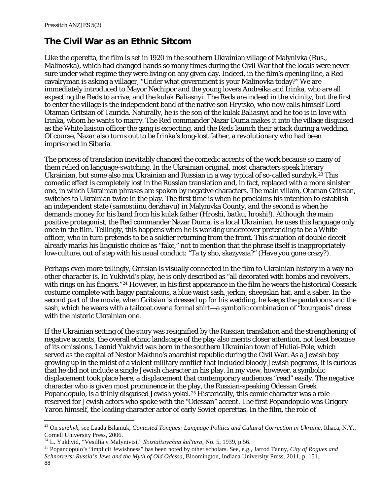$\overline{\phantom{a}}$ 

### **The Civil War as an Ethnic Sitcom**

Like the operetta, the film is set in 1920 in the southern Ukrainian village of Malynivka (Rus., Malinovka), which had changed hands so many times during the Civil War that the locals were never sure under what regime they were living on any given day. Indeed, in the film's opening line, a Red cavalryman is asking a villager, "Under what government is your Malinovka today?" We are immediately introduced to Mayor Nechipor and the young lovers Andreika and Irinka, who are all expecting the Reds to arrive, and the kulak Baliasnyi. The Reds are indeed in the vicinity, but the first to enter the village is the independent band of the native son Hrytsko, who now calls himself Lord Otaman Gritsian of Taurida. Naturally, he is the son of the kulak Baliasnyi and he too is in love with Irinka, whom he wants to marry. The Red commander Nazar Duma makes it into the village disguised as the White liaison officer the gang is expecting, and the Reds launch their attack during a wedding. Of course, Nazar also turns out to be Irinka's long-lost father, a revolutionary who had been imprisoned in Siberia.

The process of translation inevitably changed the comedic accents of the work because so many of them relied on language-switching. In the Ukrainian original, most characters speak literary Ukrainian, but some also mix Ukrainian and Russian in a way typical of so-called *surzhyk*.[23](#page-5-0) This comedic effect is completely lost in the Russian translation and, in fact, replaced with a more sinister one, in which Ukrainian phrases are spoken by negative characters. The main villain, Otaman Gritsian, switches to Ukrainian twice in the play. The first time is when he proclaims his intention to establish an independent state (*samostiinu derzhavu*) in Malynivka County, and the second is when he demands money for his band from his kulak father (*Hroshi, batku, hroshi!*). Although the main positive protagonist, the Red commander Nazar Duma, is a local Ukrainian, he uses this language only once in the film. Tellingly, this happens when he is working undercover pretending to be a White officer, who in turn pretends to be a soldier returning from the front. This situation of double deceit already marks his linguistic choice as "fake," not to mention that the phrase itself is inappropriately low-culture, out of step with his usual conduct: "Ta ty sho, skazyvsia?" (Have you gone crazy?).

Perhaps even more tellingly, Gritsian is visually connected in the film to Ukrainian history in a way no other character is. In Yukhvid's play, he is only described as "all decorated with bombs and revolvers, with rings on his fingers."<sup>[24](#page-5-1)</sup> However, in his first appearance in the film he wears the historical Cossack costume complete with baggy pantaloons, a blue waist sash, jerkin, sheepskin hat, and a saber. In the second part of the movie, when Gritsian is dressed up for his wedding, he keeps the pantaloons and the sash, which he wears with a tailcoat over a formal shirt—a symbolic combination of "bourgeois" dress with the historic Ukrainian one.

If the Ukrainian setting of the story was resignified by the Russian translation and the strengthening of negative accents, the overall ethnic landscape of the play also merits closer attention, not least because of its omissions. Leonid Yukhvid was born in the southern Ukrainian town of Huliai-Pole, which served as the capital of Nestor Makhno's anarchist republic during the Civil War. As a Jewish boy growing up in the midst of a violent military conflict that included bloody Jewish pogroms, it is curious that he did not include a single Jewish character in his play. In my view, however, a symbolic displacement took place here, a displacement that contemporary audiences "read" easily. The negative character who is given most prominence in the play, the Russian-speaking Odessan Greek Popandopulo, is a thinly disguised Jewish yokel.<sup>[25](#page-5-2)</sup> Historically, this comic character was a role reserved for Jewish actors who spoke with the "Odessan" accent. The first Popandopulo was Grigory Yaron himself, the leading character actor of early Soviet operettas. In the film, the role of

<span id="page-5-0"></span><sup>23</sup> On *surzhyk*, see Laada Bilaniuk, *Contested Tongues: Language Politics and Cultural Correction in Ukraine*, Ithaca, N.Y., Cornell University Press, 2006.

<span id="page-5-2"></span><span id="page-5-1"></span><sup>&</sup>lt;sup>24</sup> L. Yukhvid, "Vesillia v Malynivtsi," *Sotsialistychna kul'tura*, No. 5, 1939, p.56.<br><sup>25</sup> Popandopulo's "implicit Jewishness" has been noted by other scholars. See, e.g., Jarrod Tanny, *City of Rogues and Schnorrers: Russia's Jews and the Myth of Old Odessa*, Bloomington, Indiana University Press, 2011, p. 151. 88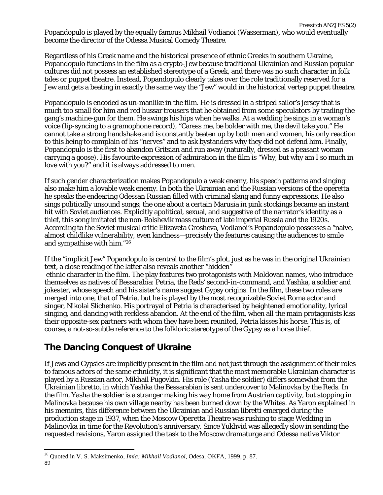Popandopulo is played by the equally famous Mikhail Vodianoi (Wasserman), who would eventually become the director of the Odessa Musical Comedy Theatre.

Regardless of his Greek name and the historical presence of ethnic Greeks in southern Ukraine, Popandopulo functions in the film as a crypto-Jew because traditional Ukrainian and Russian popular cultures did not possess an established stereotype of a Greek, and there was no such character in folk tales or puppet theatre. Instead, Popandopulo clearly takes over the role traditionally reserved for a Jew and gets a beating in exactly the same way the "Jew" would in the historical *vertep* puppet theatre.

Popandopulo is encoded as un-manlike in the film. He is dressed in a striped sailor's jersey that is much too small for him and red hussar trousers that he obtained from some speculators by trading the gang's machine-gun for them. He swings his hips when he walks. At a wedding he sings in a woman's voice (lip-syncing to a gramophone record), "Caress me, be bolder with me, the devil take you." He cannot take a strong handshake and is constantly beaten up by both men and women, his only reaction to this being to complain of his "nerves" and to ask bystanders why they did not defend him. Finally, Popandopulo is the first to abandon Gritsian and run away (naturally, dressed as a peasant woman carrying a goose). His favourite expression of admiration in the film is "Why, but why am I so much in love with you?" and it is always addressed to men.

If such gender characterization makes Popandopulo a weak enemy, his speech patterns and singing also make him a lovable weak enemy. In both the Ukrainian and the Russian versions of the operetta he speaks the endearing Odessan Russian filled with criminal slang and funny expressions. He also sings politically unsound songs; the one about a certain Marusia in pink stockings became an instant hit with Soviet audiences. Explicitly apolitical, sexual, and suggestive of the narrator's identity as a thief, this song imitated the non-Bolshevik mass culture of late imperial Russia and the 1920s. According to the Soviet musical critic Elizaveta Grosheva, Vodianoi's Popandopulo possesses a "naive, almost childlike vulnerability, even kindness—precisely the features causing the audiences to smile and sympathise with him."[26](#page-6-0)

If the "implicit Jew" Popandopulo is central to the film's plot, just as he was in the original Ukrainian text, a close reading of the latter also reveals another "hidden" ethnic character in the film. The play features two protagonists with Moldovan names, who introduce themselves as natives of Bessarabia: Petria, the Reds' second-in-command, and Yashka, a soldier and jokester, whose speech and his sister's name suggest Gypsy origins. In the film, these two roles are merged into one, that of Petria, but he is played by the most recognizable Soviet Roma actor and singer, Nikolai Slichenko. His portrayal of Petria is characterised by heightened emotionality, lyrical singing, and dancing with reckless abandon. At the end of the film, when all the main protagonists kiss their opposite-sex partners with whom they have been reunited, Petria kisses his horse. This is, of course, a not-so-subtle reference to the folkloric stereotype of the Gypsy as a horse thief.

## **The Dancing Conquest of Ukraine**

l

If Jews and Gypsies are implicitly present in the film and not just through the assignment of their roles to famous actors of the same ethnicity, it is significant that the most memorable Ukrainian character is played by a Russian actor, Mikhail Pugovkin. His role (Yasha the soldier) differs somewhat from the Ukrainian libretto, in which Yashka the Bessarabian is sent undercover to Malinovka by the Reds. In the film, Yasha the soldier is a stranger making his way home from Austrian captivity, but stopping in Malinovka because his own village nearby has been burned down by the Whites. As Yaron explained in his memoirs, this difference between the Ukrainian and Russian libretti emerged during the production stage in 1937, when the Moscow Operetta Theatre was rushing to stage *Wedding in Malinovka* in time for the Revolution's anniversary. Since Yukhvid was allegedly slow in sending the requested revisions, Yaron assigned the task to the Moscow dramaturge and Odessa native Viktor

<span id="page-6-0"></span><sup>26</sup> Quoted in V. S. Maksimenko, *Imia: Mikhail Vodianoi*, Odesa, OKFA, 1999, p. 87. 89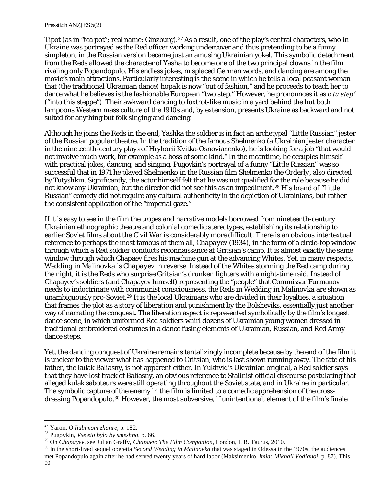#### *Pressitch ANZJES 5(2)*

Tipot (as in "tea pot"; real name: Ginzburg).<sup>[27](#page-7-0)</sup> As a result, one of the play's central characters, who in Ukraine was portrayed as the Red officer working undercover and thus *pretending* to be a funny simpleton, in the Russian version became just an amusing Ukrainian yokel. This symbolic detachment from the Reds allowed the character of Yasha to become one of the two principal clowns in the film rivaling only Popandopulo. His endless jokes, misplaced German words, and dancing are among the movie's main attractions. Particularly interesting is the scene in which he tells a local peasant woman that (the traditional Ukrainian dance) *hopak* is now "out of fashion," and he proceeds to teach her to dance what he believes is the fashionable European "two step." However, he pronounces it as *v tu step′* ("into this steppe"). Their awkward dancing to foxtrot-like music in a yard behind the hut both lampoons Western mass culture of the 1910s and, by extension, presents Ukraine as backward and not suited for anything but folk singing and dancing.

Although he joins the Reds in the end, Yashka the soldier is in fact an archetypal "Little Russian" jester of the Russian popular theatre. In the tradition of the famous Shelmenko (a Ukrainian jester character in the nineteenth-century plays of Hryhorii Kvitka-Osnovianenko), he is looking for a job "that would not involve much work, for example as a boss of some kind." In the meantime, he occupies himself with practical jokes, dancing, and singing. Pugovkin's portrayal of a funny "Little Russian" was so successful that in 1971 he played Shelmenko in the Russian film *Shelmenko the Orderly*, also directed by Tutyshkin. Significantly, the actor himself felt that he was not qualified for the role because he did not know any Ukrainian, but the director did not see this as an impediment.[28](#page-7-1) His brand of "Little Russian" comedy did not require any cultural authenticity in the depiction of Ukrainians, but rather the consistent application of the "imperial gaze."

If it is easy to see in the film the tropes and narrative models borrowed from nineteenth-century Ukrainian ethnographic theatre and colonial comedic stereotypes, establishing its relationship to earlier Soviet films about the Civil War is considerably more difficult. There is an obvious intertextual reference to perhaps the most famous of them all, *Chapayev* (1934), in the form of a circle-top window through which a Red soldier conducts reconnaissance at Gritsian's camp. It is almost exactly the same window through which Chapaev fires his machine gun at the advancing Whites. Yet, in many respects, *Wedding in Malinovka* is *Chapayev* in reverse. Instead of the Whites storming the Red camp during the night, it is the Reds who surprise Gritsian's drunken fighters with a night-time raid. Instead of Chapayev's soldiers (and Chapayev himself) representing the "people" that Commissar Furmanov needs to indoctrinate with communist consciousness, the Reds in *Wedding in Malinovka* are shown as unambiguously pro-Soviet.[29](#page-7-2) It is the local Ukrainians who are divided in their loyalties, a situation that frames the plot as a story of liberation and punishment by the Bolsheviks, essentially just another way of narrating the conquest. The liberation aspect is represented symbolically by the film's longest dance scene, in which uniformed Red soldiers whirl dozens of Ukrainian young women dressed in traditional embroidered costumes in a dance fusing elements of Ukrainian, Russian, and Red Army dance steps.

Yet, the dancing conquest of Ukraine remains tantalizingly incomplete because by the end of the film it is unclear to the viewer what has happened to Gritsian, who is last shown running away. The fate of his father, the kulak Baliasny, is not apparent either. In Yukhvid's Ukrainian original, a Red soldier says that they have lost track of Baliasny, an obvious reference to Stalinist official discourse postulating that alleged kulak saboteurs were still operating throughout the Soviet state, and in Ukraine in particular. The symbolic capture of the enemy in the film is limited to a comedic apprehension of the crossdressing Popandopulo.[30](#page-7-3) However, the most subversive, if unintentional, element of the film's finale

<span id="page-7-1"></span><span id="page-7-0"></span><sup>&</sup>lt;sup>27</sup> Yaron, *O liubimom zhanre*, p. 182.<br><sup>28</sup> Pugovkin, *Vse eto bylo by smeshno*, p. 66.<br><sup>29</sup> On *Chapayev*, see Julian Graffy, *Chapaev: The Film Companion*, London, I. B. Taurus, 2010.

<span id="page-7-3"></span><span id="page-7-2"></span> $30$  In the short-lived sequel operetta *Second Wedding in Malinovka* that was staged in Odessa in the 1970s, the audiences met Popandopulo again after he had served twenty years of hard labor (Maksimenko, *Imia: Mikhail Vodianoi*, p. 87). This 90